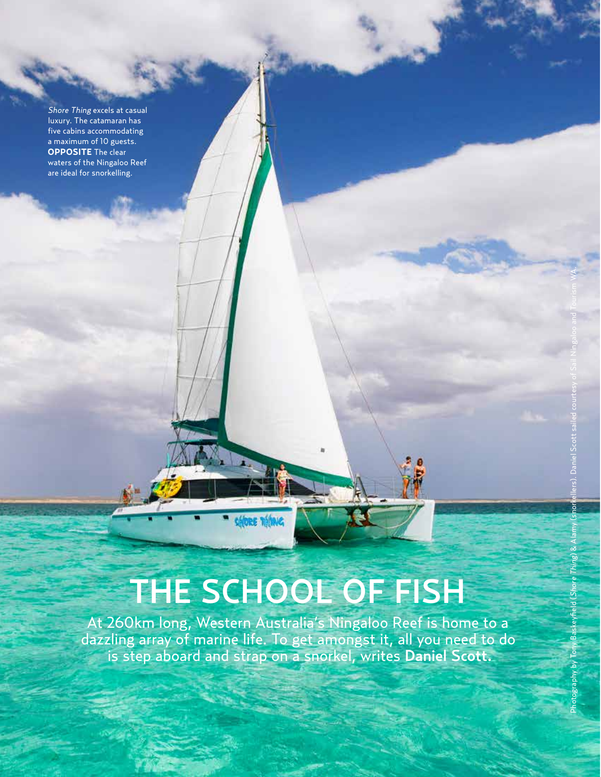Shore Thing excels at casual luxury. The catamaran has five cabins accommodating a maximum of 10 guests. **OPPOSITE** The clear waters of the Ningaloo Reef are ideal for snorkelling.

210 **AustralianHouse&Garden**

## THE SCHOOL OF FISH

At 260km long, Western Australia's Ningaloo Reef is home to a dazzling array of marine life. To get amongst it, all you need to do is step aboard and strap on a snorkel, writes Daniel Scott.